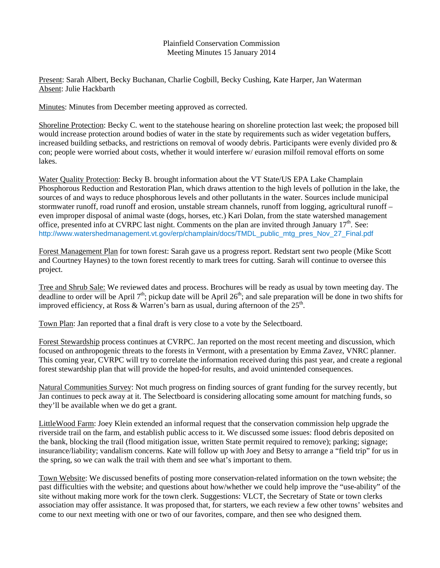## Plainfield Conservation Commission Meeting Minutes 15 January 2014

Present: Sarah Albert, Becky Buchanan, Charlie Cogbill, Becky Cushing, Kate Harper, Jan Waterman Absent: Julie Hackbarth

Minutes: Minutes from December meeting approved as corrected.

Shoreline Protection: Becky C. went to the statehouse hearing on shoreline protection last week; the proposed bill would increase protection around bodies of water in the state by requirements such as wider vegetation buffers, increased building setbacks, and restrictions on removal of woody debris. Participants were evenly divided pro & con; people were worried about costs, whether it would interfere w/ eurasion milfoil removal efforts on some lakes.

Water Quality Protection: Becky B. brought information about the VT State/US EPA Lake Champlain Phosphorous Reduction and Restoration Plan, which draws attention to the high levels of pollution in the lake, the sources of and ways to reduce phosphorous levels and other pollutants in the water. Sources include municipal stormwater runoff, road runoff and erosion, unstable stream channels, runoff from logging, agricultural runoff – even improper disposal of animal waste (dogs, horses, etc.) Kari Dolan, from the state watershed management office, presented info at CVRPC last night. Comments on the plan are invited through January  $17<sup>th</sup>$ . See: http://www.watershedmanagement.vt.gov/erp/champlain/docs/TMDL\_public\_mtg\_pres\_Nov\_27\_Final.pdf

Forest Management Plan for town forest: Sarah gave us a progress report. Redstart sent two people (Mike Scott and Courtney Haynes) to the town forest recently to mark trees for cutting. Sarah will continue to oversee this project.

Tree and Shrub Sale: We reviewed dates and process. Brochures will be ready as usual by town meeting day. The deadline to order will be April  $7<sup>th</sup>$ ; pickup date will be April  $26<sup>th</sup>$ ; and sale preparation will be done in two shifts for improved efficiency, at Ross & Warren's barn as usual, during afternoon of the  $25<sup>th</sup>$ .

Town Plan: Jan reported that a final draft is very close to a vote by the Selectboard.

Forest Stewardship process continues at CVRPC. Jan reported on the most recent meeting and discussion, which focused on anthropogenic threats to the forests in Vermont, with a presentation by Emma Zavez, VNRC planner. This coming year, CVRPC will try to correlate the information received during this past year, and create a regional forest stewardship plan that will provide the hoped-for results, and avoid unintended consequences.

Natural Communities Survey: Not much progress on finding sources of grant funding for the survey recently, but Jan continues to peck away at it. The Selectboard is considering allocating some amount for matching funds, so they'll be available when we do get a grant.

LittleWood Farm: Joey Klein extended an informal request that the conservation commission help upgrade the riverside trail on the farm, and establish public access to it. We discussed some issues: flood debris deposited on the bank, blocking the trail (flood mitigation issue, written State permit required to remove); parking; signage; insurance/liability; vandalism concerns. Kate will follow up with Joey and Betsy to arrange a "field trip" for us in the spring, so we can walk the trail with them and see what's important to them.

Town Website: We discussed benefits of posting more conservation-related information on the town website; the past difficulties with the website; and questions about how/whether we could help improve the "use-ability" of the site without making more work for the town clerk. Suggestions: VLCT, the Secretary of State or town clerks association may offer assistance. It was proposed that, for starters, we each review a few other towns' websites and come to our next meeting with one or two of our favorites, compare, and then see who designed them.